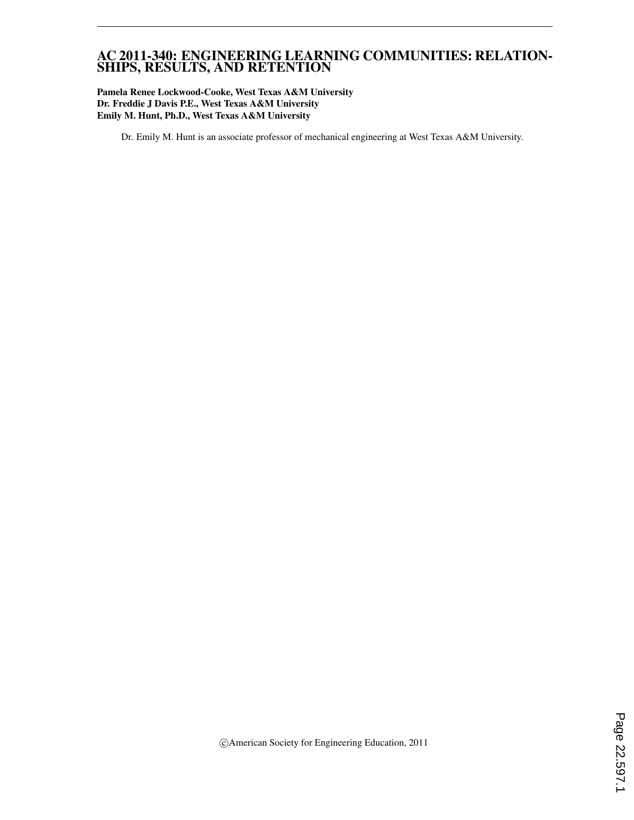#### AC 2011-340: ENGINEERING LEARNING COMMUNITIES: RELATION-SHIPS, RESULTS, AND RETENTION

#### Pamela Renee Lockwood-Cooke, West Texas A&M University Dr. Freddie J Davis P.E., West Texas A&M University Emily M. Hunt, Ph.D., West Texas A&M University

Dr. Emily M. Hunt is an associate professor of mechanical engineering at West Texas A&M University.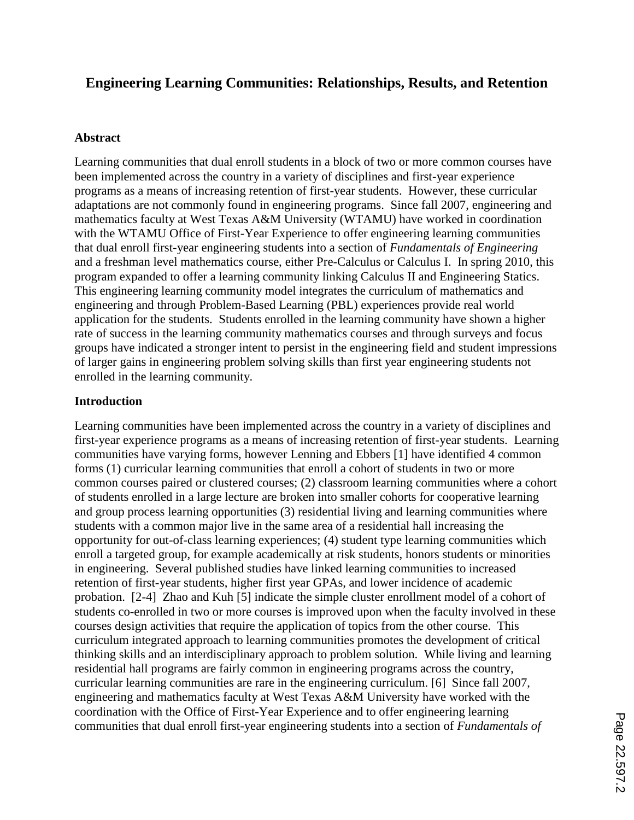# **Engineering Learning Communities: Relationships, Results, and Retention**

#### **Abstract**

Learning communities that dual enroll students in a block of two or more common courses have been implemented across the country in a variety of disciplines and first-year experience programs as a means of increasing retention of first-year students. However, these curricular adaptations are not commonly found in engineering programs. Since fall 2007, engineering and mathematics faculty at West Texas A&M University (WTAMU) have worked in coordination with the WTAMU Office of First-Year Experience to offer engineering learning communities that dual enroll first-year engineering students into a section of *Fundamentals of Engineering* and a freshman level mathematics course, either Pre-Calculus or Calculus I. In spring 2010, this program expanded to offer a learning community linking Calculus II and Engineering Statics. This engineering learning community model integrates the curriculum of mathematics and engineering and through Problem-Based Learning (PBL) experiences provide real world application for the students. Students enrolled in the learning community have shown a higher rate of success in the learning community mathematics courses and through surveys and focus groups have indicated a stronger intent to persist in the engineering field and student impressions of larger gains in engineering problem solving skills than first year engineering students not enrolled in the learning community.

#### **Introduction**

Learning communities have been implemented across the country in a variety of disciplines and first-year experience programs as a means of increasing retention of first-year students. Learning communities have varying forms, however Lenning and Ebbers [1] have identified 4 common forms (1) curricular learning communities that enroll a cohort of students in two or more common courses paired or clustered courses; (2) classroom learning communities where a cohort of students enrolled in a large lecture are broken into smaller cohorts for cooperative learning and group process learning opportunities (3) residential living and learning communities where students with a common major live in the same area of a residential hall increasing the opportunity for out-of-class learning experiences; (4) student type learning communities which enroll a targeted group, for example academically at risk students, honors students or minorities in engineering. Several published studies have linked learning communities to increased retention of first-year students, higher first year GPAs, and lower incidence of academic probation. [2-4] Zhao and Kuh [5] indicate the simple cluster enrollment model of a cohort of students co-enrolled in two or more courses is improved upon when the faculty involved in these courses design activities that require the application of topics from the other course. This curriculum integrated approach to learning communities promotes the development of critical thinking skills and an interdisciplinary approach to problem solution. While living and learning residential hall programs are fairly common in engineering programs across the country, curricular learning communities are rare in the engineering curriculum. [6] Since fall 2007, engineering and mathematics faculty at West Texas A&M University have worked with the coordination with the Office of First-Year Experience and to offer engineering learning communities that dual enroll first-year engineering students into a section of *Fundamentals of*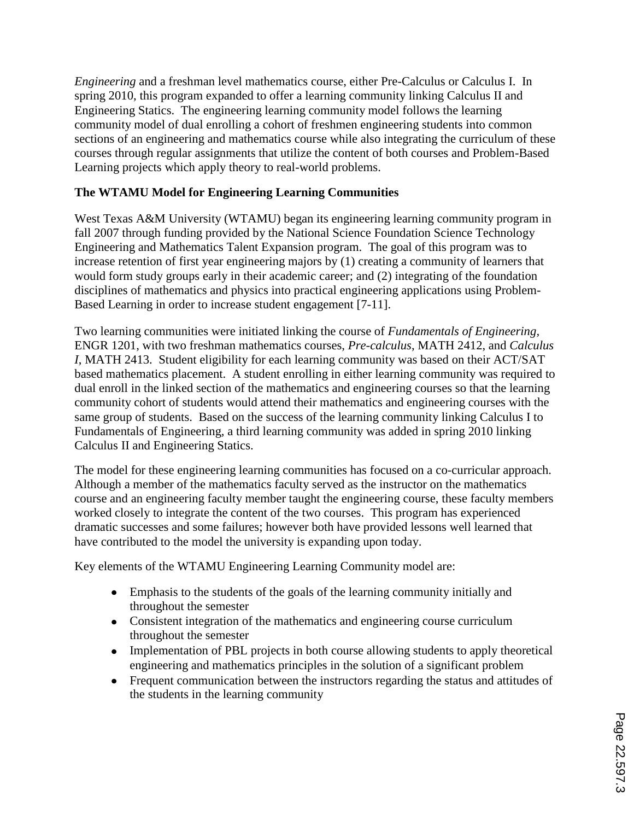*Engineering* and a freshman level mathematics course, either Pre-Calculus or Calculus I. In spring 2010, this program expanded to offer a learning community linking Calculus II and Engineering Statics. The engineering learning community model follows the learning community model of dual enrolling a cohort of freshmen engineering students into common sections of an engineering and mathematics course while also integrating the curriculum of these courses through regular assignments that utilize the content of both courses and Problem-Based Learning projects which apply theory to real-world problems.

## **The WTAMU Model for Engineering Learning Communities**

West Texas A&M University (WTAMU) began its engineering learning community program in fall 2007 through funding provided by the National Science Foundation Science Technology Engineering and Mathematics Talent Expansion program. The goal of this program was to increase retention of first year engineering majors by (1) creating a community of learners that would form study groups early in their academic career; and (2) integrating of the foundation disciplines of mathematics and physics into practical engineering applications using Problem-Based Learning in order to increase student engagement [7-11].

Two learning communities were initiated linking the course of *Fundamentals of Engineering,*  ENGR 1201, with two freshman mathematics courses, *Pre-calculus*, MATH 2412, and *Calculus I*, MATH 2413. Student eligibility for each learning community was based on their ACT/SAT based mathematics placement. A student enrolling in either learning community was required to dual enroll in the linked section of the mathematics and engineering courses so that the learning community cohort of students would attend their mathematics and engineering courses with the same group of students. Based on the success of the learning community linking Calculus I to Fundamentals of Engineering, a third learning community was added in spring 2010 linking Calculus II and Engineering Statics.

The model for these engineering learning communities has focused on a co-curricular approach. Although a member of the mathematics faculty served as the instructor on the mathematics course and an engineering faculty member taught the engineering course, these faculty members worked closely to integrate the content of the two courses. This program has experienced dramatic successes and some failures; however both have provided lessons well learned that have contributed to the model the university is expanding upon today.

Key elements of the WTAMU Engineering Learning Community model are:

- Emphasis to the students of the goals of the learning community initially and throughout the semester
- Consistent integration of the mathematics and engineering course curriculum throughout the semester
- Implementation of PBL projects in both course allowing students to apply theoretical engineering and mathematics principles in the solution of a significant problem
- Frequent communication between the instructors regarding the status and attitudes of the students in the learning community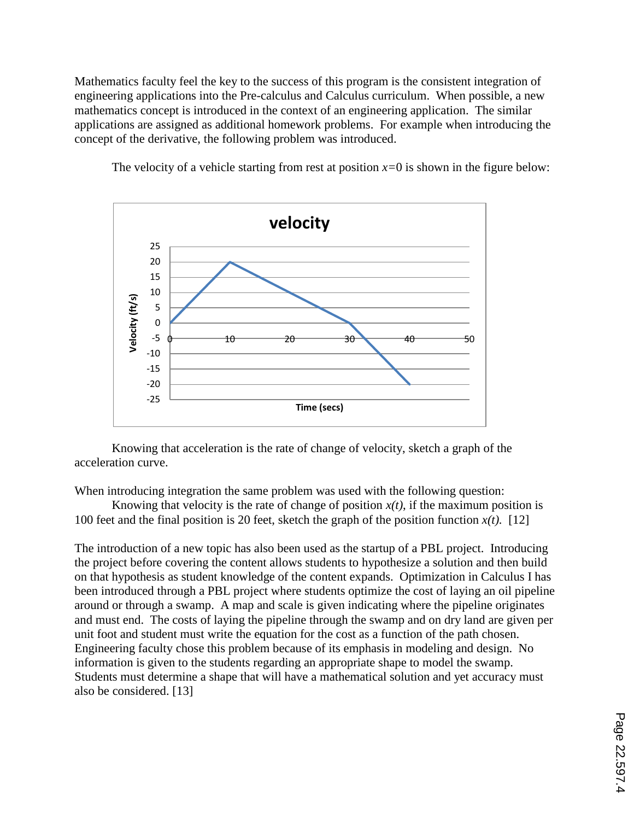Mathematics faculty feel the key to the success of this program is the consistent integration of engineering applications into the Pre-calculus and Calculus curriculum. When possible, a new mathematics concept is introduced in the context of an engineering application. The similar applications are assigned as additional homework problems. For example when introducing the concept of the derivative, the following problem was introduced.



The velocity of a vehicle starting from rest at position  $x=0$  is shown in the figure below:

Knowing that acceleration is the rate of change of velocity, sketch a graph of the acceleration curve.

When introducing integration the same problem was used with the following question:

Knowing that velocity is the rate of change of position  $x(t)$ , if the maximum position is 100 feet and the final position is 20 feet, sketch the graph of the position function  $x(t)$ . [12]

The introduction of a new topic has also been used as the startup of a PBL project. Introducing the project before covering the content allows students to hypothesize a solution and then build on that hypothesis as student knowledge of the content expands. Optimization in Calculus I has been introduced through a PBL project where students optimize the cost of laying an oil pipeline around or through a swamp. A map and scale is given indicating where the pipeline originates and must end. The costs of laying the pipeline through the swamp and on dry land are given per unit foot and student must write the equation for the cost as a function of the path chosen. Engineering faculty chose this problem because of its emphasis in modeling and design. No information is given to the students regarding an appropriate shape to model the swamp. Students must determine a shape that will have a mathematical solution and yet accuracy must also be considered. [13]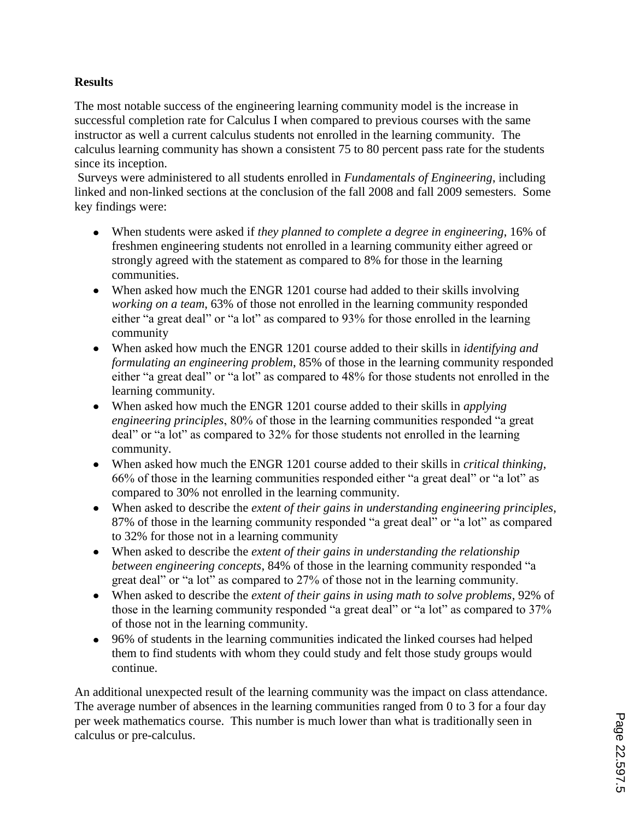## **Results**

The most notable success of the engineering learning community model is the increase in successful completion rate for Calculus I when compared to previous courses with the same instructor as well a current calculus students not enrolled in the learning community. The calculus learning community has shown a consistent 75 to 80 percent pass rate for the students since its inception.

Surveys were administered to all students enrolled in *Fundamentals of Engineering*, including linked and non-linked sections at the conclusion of the fall 2008 and fall 2009 semesters. Some key findings were:

- When students were asked if *they planned to complete a degree in engineering*, 16% of freshmen engineering students not enrolled in a learning community either agreed or strongly agreed with the statement as compared to 8% for those in the learning communities.
- When asked how much the ENGR 1201 course had added to their skills involving *working on a team*, 63% of those not enrolled in the learning community responded either "a great deal" or "a lot" as compared to 93% for those enrolled in the learning community
- When asked how much the ENGR 1201 course added to their skills in *identifying and formulating an engineering problem*, 85% of those in the learning community responded either "a great deal" or "a lot" as compared to 48% for those students not enrolled in the learning community.
- When asked how much the ENGR 1201 course added to their skills in *applying engineering principles*, 80% of those in the learning communities responded "a great deal" or "a lot" as compared to 32% for those students not enrolled in the learning community.
- When asked how much the ENGR 1201 course added to their skills in *critical thinking*, 66% of those in the learning communities responded either "a great deal" or "a lot" as compared to 30% not enrolled in the learning community.
- When asked to describe the *extent of their gains in understanding engineering principles*, 87% of those in the learning community responded "a great deal" or "a lot" as compared to 32% for those not in a learning community
- When asked to describe the *extent of their gains in understanding the relationship between engineering concepts*, 84% of those in the learning community responded "a great deal" or "a lot" as compared to 27% of those not in the learning community.
- When asked to describe the *extent of their gains in using math to solve problems*, 92% of those in the learning community responded "a great deal" or "a lot" as compared to 37% of those not in the learning community.
- 96% of students in the learning communities indicated the linked courses had helped them to find students with whom they could study and felt those study groups would continue.

An additional unexpected result of the learning community was the impact on class attendance. The average number of absences in the learning communities ranged from 0 to 3 for a four day per week mathematics course. This number is much lower than what is traditionally seen in calculus or pre-calculus.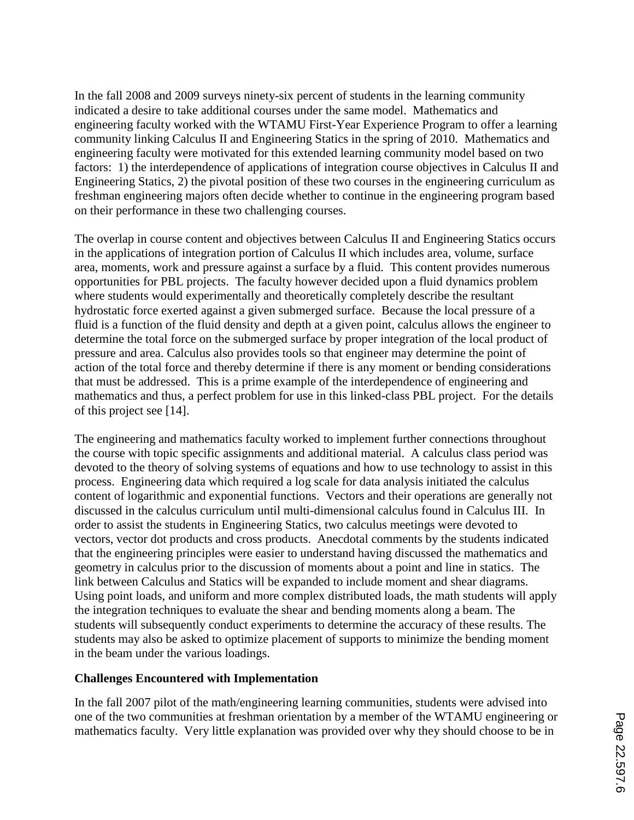In the fall 2008 and 2009 surveys ninety-six percent of students in the learning community indicated a desire to take additional courses under the same model. Mathematics and engineering faculty worked with the WTAMU First-Year Experience Program to offer a learning community linking Calculus II and Engineering Statics in the spring of 2010. Mathematics and engineering faculty were motivated for this extended learning community model based on two factors: 1) the interdependence of applications of integration course objectives in Calculus II and Engineering Statics, 2) the pivotal position of these two courses in the engineering curriculum as freshman engineering majors often decide whether to continue in the engineering program based on their performance in these two challenging courses.

The overlap in course content and objectives between Calculus II and Engineering Statics occurs in the applications of integration portion of Calculus II which includes area, volume, surface area, moments, work and pressure against a surface by a fluid. This content provides numerous opportunities for PBL projects. The faculty however decided upon a fluid dynamics problem where students would experimentally and theoretically completely describe the resultant hydrostatic force exerted against a given submerged surface. Because the local pressure of a fluid is a function of the fluid density and depth at a given point, calculus allows the engineer to determine the total force on the submerged surface by proper integration of the local product of pressure and area. Calculus also provides tools so that engineer may determine the point of action of the total force and thereby determine if there is any moment or bending considerations that must be addressed. This is a prime example of the interdependence of engineering and mathematics and thus, a perfect problem for use in this linked-class PBL project. For the details of this project see [14].

The engineering and mathematics faculty worked to implement further connections throughout the course with topic specific assignments and additional material. A calculus class period was devoted to the theory of solving systems of equations and how to use technology to assist in this process. Engineering data which required a log scale for data analysis initiated the calculus content of logarithmic and exponential functions. Vectors and their operations are generally not discussed in the calculus curriculum until multi-dimensional calculus found in Calculus III. In order to assist the students in Engineering Statics, two calculus meetings were devoted to vectors, vector dot products and cross products. Anecdotal comments by the students indicated that the engineering principles were easier to understand having discussed the mathematics and geometry in calculus prior to the discussion of moments about a point and line in statics. The link between Calculus and Statics will be expanded to include moment and shear diagrams. Using point loads, and uniform and more complex distributed loads, the math students will apply the integration techniques to evaluate the shear and bending moments along a beam. The students will subsequently conduct experiments to determine the accuracy of these results. The students may also be asked to optimize placement of supports to minimize the bending moment in the beam under the various loadings.

## **Challenges Encountered with Implementation**

In the fall 2007 pilot of the math/engineering learning communities, students were advised into one of the two communities at freshman orientation by a member of the WTAMU engineering or mathematics faculty. Very little explanation was provided over why they should choose to be in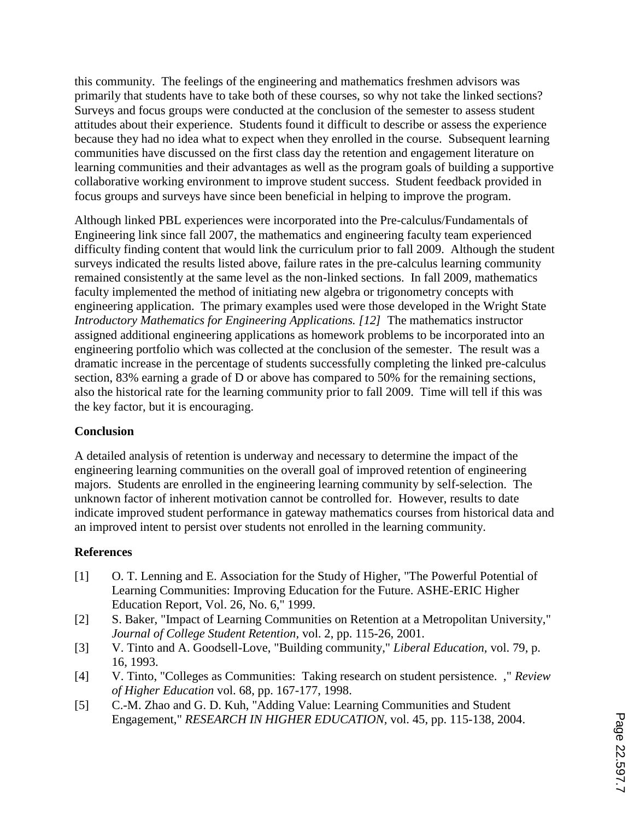this community. The feelings of the engineering and mathematics freshmen advisors was primarily that students have to take both of these courses, so why not take the linked sections? Surveys and focus groups were conducted at the conclusion of the semester to assess student attitudes about their experience. Students found it difficult to describe or assess the experience because they had no idea what to expect when they enrolled in the course. Subsequent learning communities have discussed on the first class day the retention and engagement literature on learning communities and their advantages as well as the program goals of building a supportive collaborative working environment to improve student success. Student feedback provided in focus groups and surveys have since been beneficial in helping to improve the program.

Although linked PBL experiences were incorporated into the Pre-calculus/Fundamentals of Engineering link since fall 2007, the mathematics and engineering faculty team experienced difficulty finding content that would link the curriculum prior to fall 2009. Although the student surveys indicated the results listed above, failure rates in the pre-calculus learning community remained consistently at the same level as the non-linked sections. In fall 2009, mathematics faculty implemented the method of initiating new algebra or trigonometry concepts with engineering application. The primary examples used were those developed in the Wright State *Introductory Mathematics for Engineering Applications. [12]* The mathematics instructor assigned additional engineering applications as homework problems to be incorporated into an engineering portfolio which was collected at the conclusion of the semester. The result was a dramatic increase in the percentage of students successfully completing the linked pre-calculus section, 83% earning a grade of D or above has compared to 50% for the remaining sections, also the historical rate for the learning community prior to fall 2009. Time will tell if this was the key factor, but it is encouraging.

## **Conclusion**

A detailed analysis of retention is underway and necessary to determine the impact of the engineering learning communities on the overall goal of improved retention of engineering majors. Students are enrolled in the engineering learning community by self-selection. The unknown factor of inherent motivation cannot be controlled for. However, results to date indicate improved student performance in gateway mathematics courses from historical data and an improved intent to persist over students not enrolled in the learning community.

## **References**

- [1] O. T. Lenning and E. Association for the Study of Higher, "The Powerful Potential of Learning Communities: Improving Education for the Future. ASHE-ERIC Higher Education Report, Vol. 26, No. 6," 1999.
- [2] S. Baker, "Impact of Learning Communities on Retention at a Metropolitan University," *Journal of College Student Retention,* vol. 2, pp. 115-26, 2001.
- [3] V. Tinto and A. Goodsell-Love, "Building community," *Liberal Education,* vol. 79, p. 16, 1993.
- [4] V. Tinto, "Colleges as Communities: Taking research on student persistence. ," *Review of Higher Education* vol. 68, pp. 167-177, 1998.
- [5] C.-M. Zhao and G. D. Kuh, "Adding Value: Learning Communities and Student Engagement," *RESEARCH IN HIGHER EDUCATION,* vol. 45, pp. 115-138, 2004.